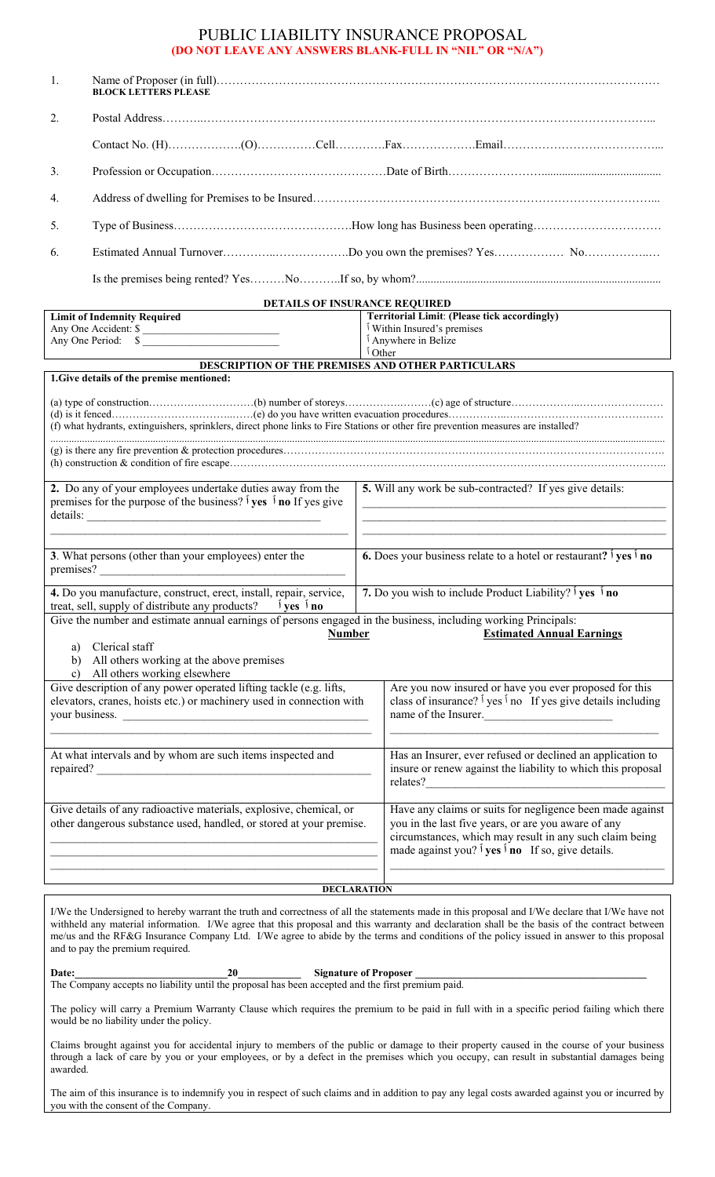#### PUBLIC LIABILITY INSURANCE PROPOSAL **(DO NOT LEAVE ANY ANSWERS BLANK-FULL IN "NIL" OR "N/A")**

| 1.                                                                                                                                                                  | <b>BLOCK LETTERS PLEASE</b>                                                                                                                                  |                    |                                                                                                                                                                                                                                                        |  |  |
|---------------------------------------------------------------------------------------------------------------------------------------------------------------------|--------------------------------------------------------------------------------------------------------------------------------------------------------------|--------------------|--------------------------------------------------------------------------------------------------------------------------------------------------------------------------------------------------------------------------------------------------------|--|--|
| 2.                                                                                                                                                                  |                                                                                                                                                              |                    |                                                                                                                                                                                                                                                        |  |  |
|                                                                                                                                                                     |                                                                                                                                                              |                    |                                                                                                                                                                                                                                                        |  |  |
| 3.                                                                                                                                                                  |                                                                                                                                                              |                    |                                                                                                                                                                                                                                                        |  |  |
| 4.                                                                                                                                                                  |                                                                                                                                                              |                    |                                                                                                                                                                                                                                                        |  |  |
| 5.                                                                                                                                                                  |                                                                                                                                                              |                    |                                                                                                                                                                                                                                                        |  |  |
| 6.                                                                                                                                                                  |                                                                                                                                                              |                    |                                                                                                                                                                                                                                                        |  |  |
|                                                                                                                                                                     |                                                                                                                                                              |                    |                                                                                                                                                                                                                                                        |  |  |
| DETAILS OF INSURANCE REQUIRED                                                                                                                                       |                                                                                                                                                              |                    |                                                                                                                                                                                                                                                        |  |  |
|                                                                                                                                                                     | <b>Limit of Indemnity Required</b>                                                                                                                           |                    | <b>Territorial Limit: (Please tick accordingly)</b>                                                                                                                                                                                                    |  |  |
|                                                                                                                                                                     | Any One Accident: \$                                                                                                                                         |                    | Within Insured's premises<br><sup>1</sup> Anywhere in Belize                                                                                                                                                                                           |  |  |
|                                                                                                                                                                     | Any One Period: \$                                                                                                                                           | <sup>1</sup> Other |                                                                                                                                                                                                                                                        |  |  |
|                                                                                                                                                                     | <b>DESCRIPTION OF THE PREMISES AND OTHER PARTICULARS</b>                                                                                                     |                    |                                                                                                                                                                                                                                                        |  |  |
|                                                                                                                                                                     | 1. Give details of the premise mentioned:                                                                                                                    |                    |                                                                                                                                                                                                                                                        |  |  |
| (f) what hydrants, extinguishers, sprinklers, direct phone links to Fire Stations or other fire prevention measures are installed?                                  |                                                                                                                                                              |                    |                                                                                                                                                                                                                                                        |  |  |
|                                                                                                                                                                     |                                                                                                                                                              |                    |                                                                                                                                                                                                                                                        |  |  |
| 2. Do any of your employees undertake duties away from the<br>premises for the purpose of the business? $\hat{1}$ yes $\hat{1}$ no If yes give<br>details:          |                                                                                                                                                              |                    | 5. Will any work be sub-contracted? If yes give details:                                                                                                                                                                                               |  |  |
| 3. What persons (other than your employees) enter the                                                                                                               |                                                                                                                                                              |                    | <b>6.</b> Does your business relate to a hotel or restaurant? $\hat{\theta}$ yes $\hat{\theta}$ no                                                                                                                                                     |  |  |
| 4. Do you manufacture, construct, erect, install, repair, service,<br>treat, sell, supply of distribute any products? $\hat{1}$ yes $\hat{1}$ no                    |                                                                                                                                                              |                    | 7. Do you wish to include Product Liability? $\frac{1}{1}$ yes $\frac{1}{1}$ no                                                                                                                                                                        |  |  |
| Give the number and estimate annual earnings of persons engaged in the business, including working Principals:<br><b>Number</b><br><b>Estimated Annual Earnings</b> |                                                                                                                                                              |                    |                                                                                                                                                                                                                                                        |  |  |
| a) Clerical staff<br>b) All others working at the above premises<br>c) All others working elsewhere                                                                 |                                                                                                                                                              |                    |                                                                                                                                                                                                                                                        |  |  |
|                                                                                                                                                                     | Give description of any power operated lifting tackle (e.g. lifts,<br>elevators, cranes, hoists etc.) or machinery used in connection with<br>your business. |                    | Are you now insured or have you ever proposed for this<br>class of insurance? $\frac{1}{1}$ yes $\frac{1}{1}$ no If yes give details including<br>name of the Insurer.                                                                                 |  |  |
| At what intervals and by whom are such items inspected and                                                                                                          |                                                                                                                                                              |                    | Has an Insurer, ever refused or declined an application to<br>insure or renew against the liability to which this proposal                                                                                                                             |  |  |
| Give details of any radioactive materials, explosive, chemical, or<br>other dangerous substance used, handled, or stored at your premise.                           |                                                                                                                                                              |                    | Have any claims or suits for negligence been made against<br>you in the last five years, or are you aware of any<br>circumstances, which may result in any such claim being<br>made against you? $\mathbf{I}$ yes $\mathbf{I}$ no If so, give details. |  |  |
|                                                                                                                                                                     |                                                                                                                                                              |                    |                                                                                                                                                                                                                                                        |  |  |
| <b>DECLARATION</b>                                                                                                                                                  |                                                                                                                                                              |                    |                                                                                                                                                                                                                                                        |  |  |

I/We the Undersigned to hereby warrant the truth and correctness of all the statements made in this proposal and I/We declare that I/We have not withheld any material information. I/We agree that this proposal and this warranty and declaration shall be the basis of the contract between me/us and the RF&G Insurance Company Ltd. I/We agree to abide by the terms and conditions of the policy issued in answer to this proposal and to pay the premium required.

Date: <u>20</u> Signature of Proposer The Company accepts no liability until the proposal has been accepted and the first premium paid.

The policy will carry a Premium Warranty Clause which requires the premium to be paid in full with in a specific period failing which there would be no liability under the policy.

Claims brought against you for accidental injury to members of the public or damage to their property caused in the course of your business through a lack of care by you or your employees, or by a defect in the premises which you occupy, can result in substantial damages being awarded.

The aim of this insurance is to indemnify you in respect of such claims and in addition to pay any legal costs awarded against you or incurred by you with the consent of the Company.